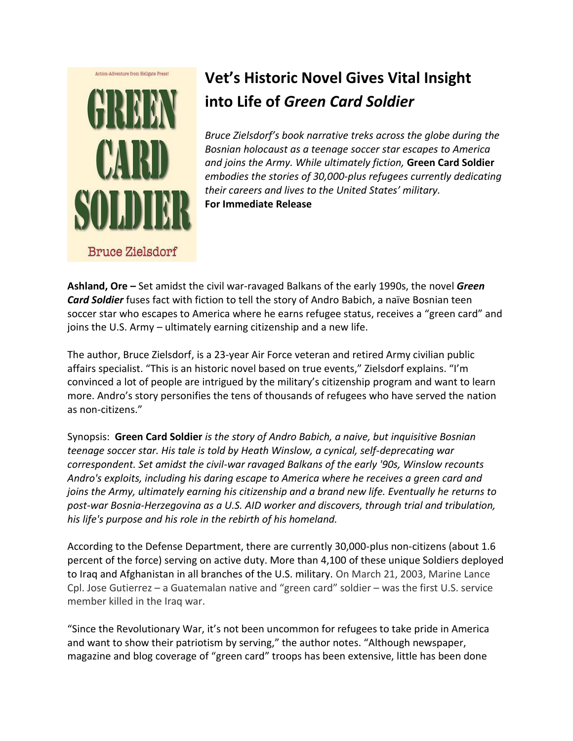

## **Vet's Historic Novel Gives Vital Insight into Life of** *Green Card Soldier*

*Bruce Zielsdorf's book narrative treks across the globe during the Bosnian holocaust as a teenage soccer star escapes to America and joins the Army. While ultimately fiction,* **Green Card Soldier** *embodies the stories of 30,000-plus refugees currently dedicating their careers and lives to the United States' military.* **For Immediate Release**

**Ashland, Ore –** Set amidst the civil war-ravaged Balkans of the early 1990s, the novel *Green Card Soldier* fuses fact with fiction to tell the story of Andro Babich, a naïve Bosnian teen soccer star who escapes to America where he earns refugee status, receives a "green card" and joins the U.S. Army – ultimately earning citizenship and a new life.

The author, Bruce Zielsdorf, is a 23-year Air Force veteran and retired Army civilian public affairs specialist. "This is an historic novel based on true events," Zielsdorf explains. "I'm convinced a lot of people are intrigued by the military's citizenship program and want to learn more. Andro's story personifies the tens of thousands of refugees who have served the nation as non-citizens."

Synopsis: **Green Card Soldier** *is the story of Andro Babich, a naive, but inquisitive Bosnian teenage soccer star. His tale is told by Heath Winslow, a cynical, self-deprecating war correspondent. Set amidst the civil-war ravaged Balkans of the early '90s, Winslow recounts Andro's exploits, including his daring escape to America where he receives a green card and joins the Army, ultimately earning his citizenship and a brand new life. Eventually he returns to post-war Bosnia-Herzegovina as a U.S. AID worker and discovers, through trial and tribulation, his life's purpose and his role in the rebirth of his homeland.*

According to the Defense Department, there are currently 30,000-plus non-citizens (about 1.6 percent of the force) serving on active duty. More than 4,100 of these unique Soldiers deployed to Iraq and Afghanistan in all branches of the U.S. military. On March 21, 2003, Marine Lance Cpl. Jose Gutierrez – a Guatemalan native and "green card" soldier – was the first U.S. service member killed in the Iraq war.

"Since the Revolutionary War, it's not been uncommon for refugees to take pride in America and want to show their patriotism by serving," the author notes. "Although newspaper, magazine and blog coverage of "green card" troops has been extensive, little has been done